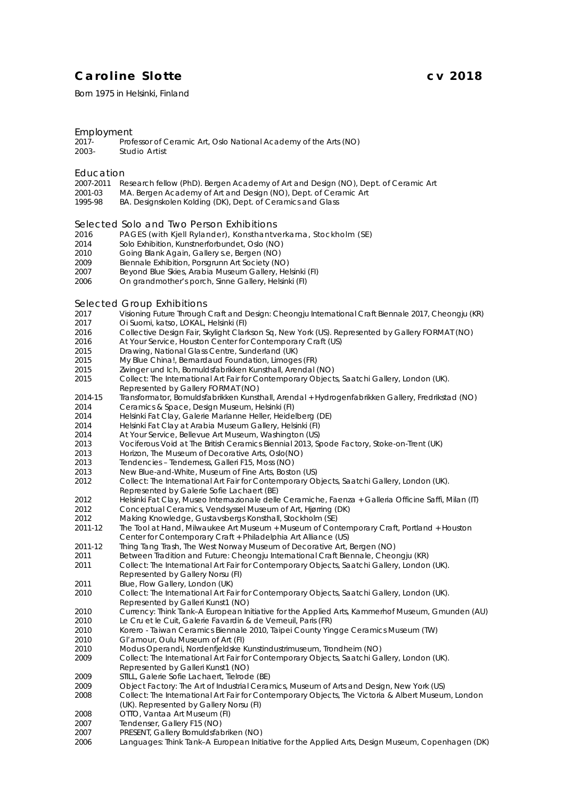### **Caroline Slotte cv 2018**

Born 1975 in Helsinki, Finland

### Employment<br>2017-

2017- Professor of Ceramic Art, Oslo National Academy of the Arts (NO)<br>2003 Studio Artist Studio Artist

#### Education

- 2007-2011 Research fellow (PhD). Bergen Academy of Art and Design (NO), Dept. of Ceramic Art<br>2001-03 MA Bergen Academy of Art and Design (NO). Dept. of Ceramic Art
- 2001-03 MA. Bergen Academy of Art and Design (NO), Dept. of Ceramic Art 1995-98 BA. Designskolen Kolding (DK), Dept. of Ceramics and Glass
- BA. Designskolen Kolding (DK), Dept. of Ceramics and Glass

## Selected Solo and Two Person Exhibitions<br>2016 PAGES (with Kiell Rylander), Konsthanty

- *PAGES* (with Kjell Rylander), Konsthantverkarna, Stockholm (SE)
- *Solo Exhibition*, Kunstnerforbundet, Oslo (NO)
- *Going Blank Again*, Gallery s.e, Bergen (NO)
- *Biennale Exhibition*, Porsgrunn Art Society (NO)
- *Beyond Blue Skies*, Arabia Museum Gallery, Helsinki (FI)
- *On grandmother's porch*, Sinne Gallery, Helsinki (FI)

#### Selected Group Exhibitions

- *Visioning Future Through Craft and Design: Cheongju International Craft Biennale 2017*, Cheongju (KR)
- *Oi Suomi, katso*, LOKAL, Helsinki (FI)
- *Collective Design Fair*, Skylight Clarkson Sq, New York (US). Represented by Gallery FORMAT (NO)
- At Your Service, Houston Center for Contemporary Craft (US)
- *Drawing*, National Glass Centre, Sunderland (UK)
- *My Blue China!*, Bernardaud Foundation, Limoges (FR)
- *Zwinger und Ich*, Bomuldsfabrikken Kunsthall, Arendal (NO)
- *Collect: The International Art Fair for Contemporary Objects*, Saatchi Gallery, London (UK). Represented by Gallery FORMAT (NO)
- 2014-15 *Transformator*, Bomuldsfabrikken Kunsthall, Arendal + Hydrogenfabrikken Gallery, Fredrikstad (NO)
- *Ceramics & Space*, Design Museum, Helsinki (FI)
- *Helsinki Fat Clay*, Galerie Marianne Heller, Heidelberg (DE)
- *Helsinki Fat Clay* at Arabia Museum Gallery, Helsinki (FI)
- At Your Service, Bellevue Art Museum, Washington (US)
- *Vociferous Void* at The British Ceramics Biennial 2013, Spode Factory, Stoke-on-Trent (UK)
- *Horizon,* The Museum of Decorative Arts, Oslo(NO)
- *Tendencies – Tenderness*, Galleri F15, Moss (NO)
- *New Blue-and-White*, Museum of Fine Arts, Boston (US)
- *Collect: The International Art Fair for Contemporary Objects*, Saatchi Gallery, London (UK). Represented by Galerie Sofie Lachaert (BE)
- *Helsinki Fat Clay*, Museo Internazionale delle Ceramiche, Faenza + Galleria Officine Saffi, Milan (IT)
- *Conceptual Ceramics*, Vendsyssel Museum of Art, Hjørring (DK)
- *Making Knowledge*, Gustavsbergs Konsthall, Stockholm (SE)
- 2011-12 *The Tool at Hand*, Milwaukee Art Museum + Museum of Contemporary Craft, Portland + Houston Center for Contemporary Craft + Philadelphia Art Alliance (US)
- 2011-12 *Thing Tang Trash*, The West Norway Museum of Decorative Art, Bergen (NO)
- *Between Tradition and Future: Cheongju International Craft Biennale*, Cheongju (KR) *Collect: The International Art Fair for Contemporary Objects*, Saatchi Gallery, London (UK).
- Represented by Gallery Norsu (FI)
- *Blue*, Flow Gallery, London (UK)
- *Collect: The International Art Fair for Contemporary Objects*, Saatchi Gallery, London (UK). Represented by Galleri Kunst1 (NO)
- *Currency: Think Tank–A European Initiative for the Applied Arts*, Kammerhof Museum, Gmunden (AU) *Le Cru et le Cuit*, Galerie Favardin & de Verneuil, Paris (FR)
- *Korero - Taiwan Ceramics Biennale 2010*, Taipei County Yingge Ceramics Museum (TW)
- *Gl'amour*, Oulu Museum of Art (FI)
- *Modus Operandi*, Nordenfjeldske Kunstindustrimuseum, Trondheim (NO)
- *Collect: The International Art Fair for Contemporary Objects*, Saatchi Gallery, London (UK).
- Represented by Galleri Kunst1 (NO)
- 2009 STILL, Galerie Sofie Lachaert, Tielrode (BE)
- *Object Factory: The Art of Industrial Ceramics*, Museum of Arts and Design, New York (US)
- *Collect: The International Art Fair for Contemporary Objects*, The Victoria & Albert Museum, London (UK). Represented by Gallery Norsu (FI)
- *OTTO*, Vantaa Art Museum (FI)
- *Tendenser*, Gallery F15 (NO)
- *PRESENT*, Gallery Bomuldsfabriken (NO)
- *Languages: Think Tank–A European Initiative for the Applied Arts*, Design Museum, Copenhagen (DK)